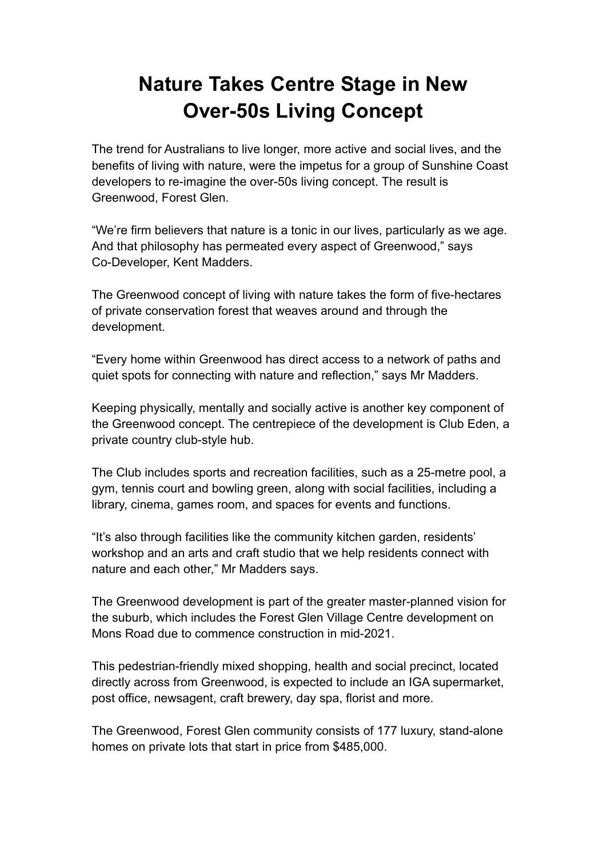## **Nature Takes Centre Stage in New Over-50s Living Concept**

The trend for Australians to live longer, more active and social lives, and the benefits of living with nature, were the impetus for a group of Sunshine Coast developers to re-imagine the over-50s living concept. The result is Greenwood, Forest Glen.

"We're firm believers that nature is a tonic in our lives, particularly as we age. And that philosophy has permeated every aspect of Greenwood," says Co-Developer, Kent Madders.

The Greenwood concept of living with nature takes the form of five-hectares of private conservation forest that weaves around and through the development.

"Every home within Greenwood has direct access to a network of paths and quiet spots for connecting with nature and reflection," says Mr Madders.

Keeping physically, mentally and socially active is another key component of the Greenwood concept. The centrepiece of the development is Club Eden, a private country club-style hub.

The Club includes sports and recreation facilities, such as a 25-metre pool, a gym, tennis court and bowling green, along with social facilities, including a library, cinema, games room, and spaces for events and functions.

"It's also through facilities like the community kitchen garden, residents' workshop and an arts and craft studio that we help residents connect with nature and each other," Mr Madders says.

The Greenwood development is part of the greater master-planned vision for the suburb, which includes the Forest Glen Village Centre development on Mons Road due to commence construction in mid-2021.

This pedestrian-friendly mixed shopping, health and social precinct, located directly across from Greenwood, is expected to include an IGA supermarket, post office, newsagent, craft brewery, day spa, florist and more.

The Greenwood, Forest Glen community consists of 177 luxury, stand-alone homes on private lots that start in price from \$485,000.